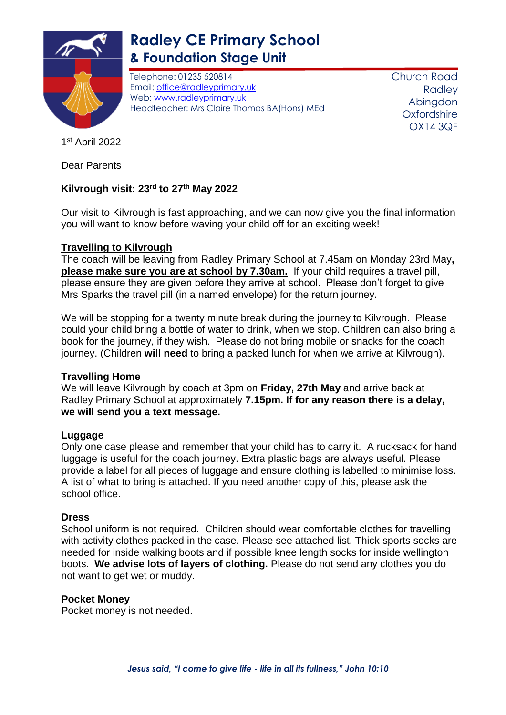

# **Radley CE Primary School & Foundation Stage Unit**

Telephone: 01235 520814 Email: [office@radleyprimary.uk](mailto:office@radleyprimary.uk) Web: [www.radleyprimary.uk](http://www.radleyprimary.uk/) Headteacher: Mrs Claire Thomas BA(Hons) MEd Church Road **Radley** Abingdon **Oxfordshire** OX14 3QF

1 st April 2022

Dear Parents

# **Kilvrough visit: 23rd to 27th May 2022**

Our visit to Kilvrough is fast approaching, and we can now give you the final information you will want to know before waving your child off for an exciting week!

## **Travelling to Kilvrough**

The coach will be leaving from Radley Primary School at 7.45am on Monday 23rd May**, please make sure you are at school by 7.30am.** If your child requires a travel pill, please ensure they are given before they arrive at school. Please don't forget to give Mrs Sparks the travel pill (in a named envelope) for the return journey.

We will be stopping for a twenty minute break during the journey to Kilvrough. Please could your child bring a bottle of water to drink, when we stop. Children can also bring a book for the journey, if they wish. Please do not bring mobile or snacks for the coach journey. (Children **will need** to bring a packed lunch for when we arrive at Kilvrough).

## **Travelling Home**

We will leave Kilvrough by coach at 3pm on **Friday, 27th May** and arrive back at Radley Primary School at approximately **7.15pm. If for any reason there is a delay, we will send you a text message.**

## **Luggage**

Only one case please and remember that your child has to carry it. A rucksack for hand luggage is useful for the coach journey. Extra plastic bags are always useful. Please provide a label for all pieces of luggage and ensure clothing is labelled to minimise loss. A list of what to bring is attached. If you need another copy of this, please ask the school office.

## **Dress**

School uniform is not required. Children should wear comfortable clothes for travelling with activity clothes packed in the case. Please see attached list. Thick sports socks are needed for inside walking boots and if possible knee length socks for inside wellington boots. **We advise lots of layers of clothing.** Please do not send any clothes you do not want to get wet or muddy.

## **Pocket Money**

Pocket money is not needed.